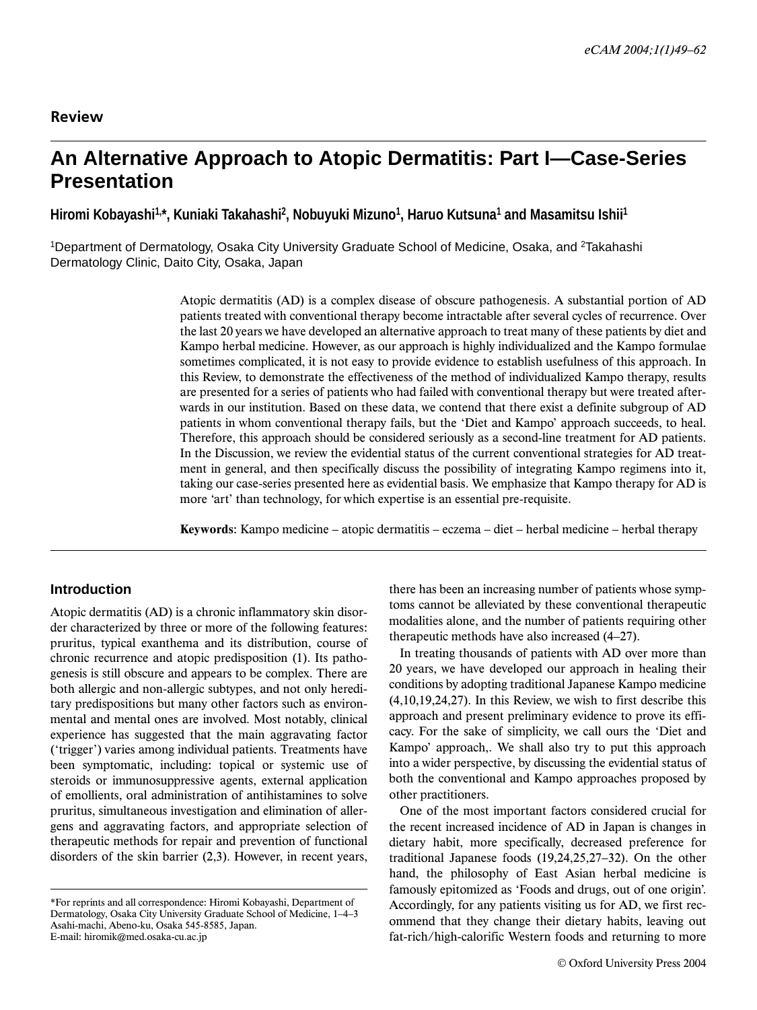# Review

# **An Alternative Approach to Atopic Dermatitis: Part I—Case-Series Presentation**

**Hiromi Kobayash[i1,](#page-0-0)\*, Kuniaki Takahashi[2,](#page-0-0) Nobuyuki Mizuno[1](#page-0-0), Haruo Kutsuna[1](#page-0-0) and Masamitsu Ishi[i1](#page-0-0)**

<span id="page-0-0"></span>1Department of Dermatology, Osaka City University Graduate School of Medicine, Osaka, and 2Takahashi Dermatology Clinic, Daito City, Osaka, Japan

> Atopic dermatitis (AD) is a complex disease of obscure pathogenesis. A substantial portion of AD patients treated with conventional therapy become intractable after several cycles of recurrence. Over the last 20 years we have developed an alternative approach to treat many of these patients by diet and Kampo herbal medicine. However, as our approach is highly individualized and the Kampo formulae sometimes complicated, it is not easy to provide evidence to establish usefulness of this approach. In this Review, to demonstrate the effectiveness of the method of individualized Kampo therapy, results are presented for a series of patients who had failed with conventional therapy but were treated afterwards in our institution. Based on these data, we contend that there exist a definite subgroup of AD patients in whom conventional therapy fails, but the 'Diet and Kampo' approach succeeds, to heal. Therefore, this approach should be considered seriously as a second-line treatment for AD patients. In the Discussion, we review the evidential status of the current conventional strategies for AD treatment in general, and then specifically discuss the possibility of integrating Kampo regimens into it, taking our case-series presented here as evidential basis. We emphasize that Kampo therapy for AD is more 'art' than technology, for which expertise is an essential pre-requisite.

Keywords: Kampo medicine – atopic dermatitis – eczema – diet – herbal medicine – herbal therapy

# **Introduction**

Atopic dermatitis (AD) is a chronic inflammatory skin disorder characterized by three or more of the following features: pruritus, typical exanthema and its distribution, course of chronic recurrence and atopic predisposition [\(1](#page-12-0)). Its pathogenesis is still obscure and appears to be complex. There are both allergic and non-allergic subtypes, and not only hereditary predispositions but many other factors such as environmental and mental ones are involved. Most notably, clinical experience has suggested that the main aggravating factor ('trigger') varies among individual patients. Treatments have been symptomatic, including: topical or systemic use of steroids or immunosuppressive agents, external application of emollients, oral administration of antihistamines to solve pruritus, simultaneous investigation and elimination of allergens and aggravating factors, and appropriate selection of therapeutic methods for repair and prevention of functional disorders of the skin barrier ([2,](#page-12-1)[3](#page-12-2)). However, in recent years,

there has been an increasing number of patients whose symptoms cannot be alleviated by these conventional therapeutic modalities alone, and the number of patients requiring other therapeutic methods have also increased ([4–](#page-12-3)[27\)](#page-12-4).

In treating thousands of patients with AD over more than 20 years, we have developed our approach in healing their conditions by adopting traditional Japanese Kampo medicine [\(4](#page-12-3)[,10](#page-12-5),[19,](#page-12-6)[24](#page-12-7),[27\)](#page-12-4). In this Review, we wish to first describe this approach and present preliminary evidence to prove its efficacy. For the sake of simplicity, we call ours the 'Diet and Kampo' approach,. We shall also try to put this approach into a wider perspective, by discussing the evidential status of both the conventional and Kampo approaches proposed by other practitioners.

One of the most important factors considered crucial for the recent increased incidence of AD in Japan is changes in dietary habit, more specifically, decreased preference for traditional Japanese foods ([19](#page-12-6)[,24](#page-12-7),[25,](#page-12-8)[27](#page-12-4)[–32](#page-12-9)). On the other hand, the philosophy of East Asian herbal medicine is famously epitomized as 'Foods and drugs, out of one origin'. Accordingly, for any patients visiting us for AD, we first recommend that they change their dietary habits, leaving out fat-rich/high-calorific Western foods and returning to more

<sup>\*</sup>For reprints and all correspondence: Hiromi Kobayashi, Department of Dermatology, Osaka City University Graduate School of Medicine, 1–4–3 Asahi-machi, Abeno-ku, Osaka 545-8585, Japan. E-mail: hiromik@med.osaka-cu.ac.jp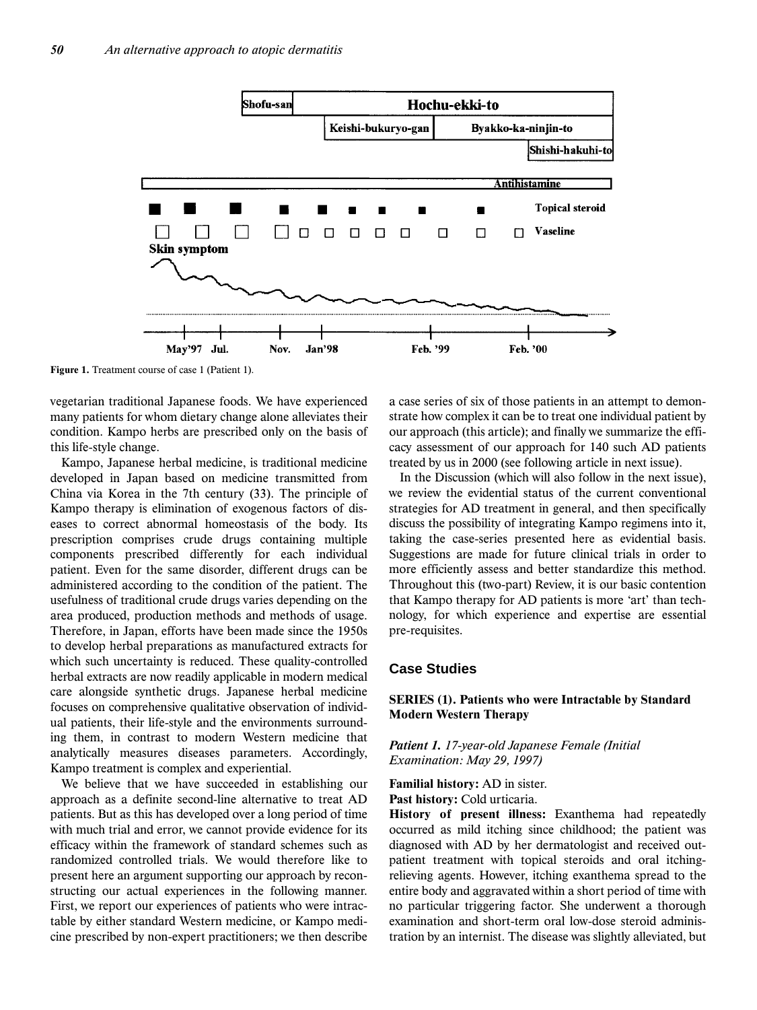

Figure 1. Treatment course of case 1 (Patient 1).

vegetarian traditional Japanese foods. We have experienced many patients for whom dietary change alone alleviates their condition. Kampo herbs are prescribed only on the basis of this life-style change.

Kampo, Japanese herbal medicine, is traditional medicine developed in Japan based on medicine transmitted from China via Korea in the 7th century ([33\)](#page-12-10). The principle of Kampo therapy is elimination of exogenous factors of diseases to correct abnormal homeostasis of the body. Its prescription comprises crude drugs containing multiple components prescribed differently for each individual patient. Even for the same disorder, different drugs can be administered according to the condition of the patient. The usefulness of traditional crude drugs varies depending on the area produced, production methods and methods of usage. Therefore, in Japan, efforts have been made since the 1950s to develop herbal preparations as manufactured extracts for which such uncertainty is reduced. These quality-controlled herbal extracts are now readily applicable in modern medical care alongside synthetic drugs. Japanese herbal medicine focuses on comprehensive qualitative observation of individual patients, their life-style and the environments surrounding them, in contrast to modern Western medicine that analytically measures diseases parameters. Accordingly, Kampo treatment is complex and experiential.

We believe that we have succeeded in establishing our approach as a definite second-line alternative to treat AD patients. But as this has developed over a long period of time with much trial and error, we cannot provide evidence for its efficacy within the framework of standard schemes such as randomized controlled trials. We would therefore like to present here an argument supporting our approach by reconstructing our actual experiences in the following manner. First, we report our experiences of patients who were intractable by either standard Western medicine, or Kampo medicine prescribed by non-expert practitioners; we then describe a case series of six of those patients in an attempt to demonstrate how complex it can be to treat one individual patient by our approach (this article); and finally we summarize the efficacy assessment of our approach for 140 such AD patients treated by us in 2000 (see following article in next issue).

In the Discussion (which will also follow in the next issue), we review the evidential status of the current conventional strategies for AD treatment in general, and then specifically discuss the possibility of integrating Kampo regimens into it, taking the case-series presented here as evidential basis. Suggestions are made for future clinical trials in order to more efficiently assess and better standardize this method. Throughout this (two-part) Review, it is our basic contention that Kampo therapy for AD patients is more 'art' than technology, for which experience and expertise are essential pre-requisites.

# **Case Studies**

## SERIES (1). Patients who were Intractable by Standard Modern Western Therapy

## Patient 1. 17-year-old Japanese Female (Initial Examination: May 29, 1997)

Familial history: AD in sister. Past history: Cold urticaria.

History of present illness: Exanthema had repeatedly occurred as mild itching since childhood; the patient was diagnosed with AD by her dermatologist and received outpatient treatment with topical steroids and oral itchingrelieving agents. However, itching exanthema spread to the entire body and aggravated within a short period of time with no particular triggering factor. She underwent a thorough examination and short-term oral low-dose steroid administration by an internist. The disease was slightly alleviated, but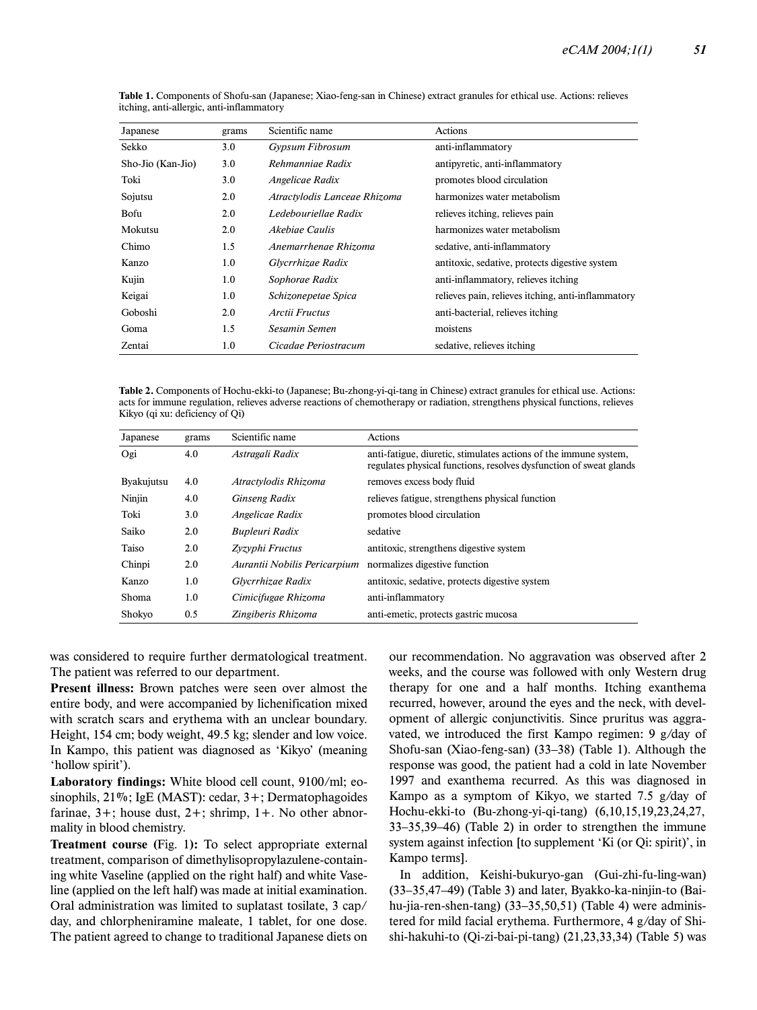| Japanese          | grams | Scientific name              | Actions                                            |
|-------------------|-------|------------------------------|----------------------------------------------------|
| Sekko             | 3.0   | Gypsum Fibrosum              | anti-inflammatory                                  |
| Sho-Jio (Kan-Jio) | 3.0   | Rehmanniae Radix             | antipyretic, anti-inflammatory                     |
| Toki              | 3.0   | Angelicae Radix              | promotes blood circulation                         |
| Sojutsu           | 2.0   | Atractylodis Lanceae Rhizoma | harmonizes water metabolism                        |
| Bofu              | 2.0   | Ledebouriellae Radix         | relieves itching, relieves pain                    |
| Mokutsu           | 2.0   | Akebiae Caulis               | harmonizes water metabolism                        |
| Chimo             | 1.5   | Anemarrhenae Rhizoma         | sedative, anti-inflammatory                        |
| Kanzo             | 1.0   | Glycrrhizae Radix            | antitoxic, sedative, protects digestive system     |
| Kujin             | 1.0   | Sophorae Radix               | anti-inflammatory, relieves itching                |
| Keigai            | 1.0   | Schizonepetae Spica          | relieves pain, relieves itching, anti-inflammatory |
| Goboshi           | 2.0   | Arctii Fructus               | anti-bacterial, relieves itching                   |
| Goma              | 1.5   | Sesamin Semen                | moistens                                           |
| Zentai            | 1.0   | Cicadae Periostracum         | sedative, relieves itching                         |

Table 1. Components of Shofu-san (Japanese; Xiao-feng-san in Chinese) extract granules for ethical use. Actions: relieves itching, anti-allergic, anti-inflammatory

Table 2. Components of Hochu-ekki-to (Japanese; Bu-zhong-yi-qi-tang in Chinese) extract granules for ethical use. Actions: acts for immune regulation, relieves adverse reactions of chemotherapy or radiation, strengthens physical functions, relieves Kikyo (qi xu: deficiency of Qi)

| Japanese   | grams | Scientific name              | Actions                                                                                                                                |
|------------|-------|------------------------------|----------------------------------------------------------------------------------------------------------------------------------------|
| Ogi        | 4.0   | Astragali Radix              | anti-fatigue, diuretic, stimulates actions of the immune system,<br>regulates physical functions, resolves dysfunction of sweat glands |
| Byakujutsu | 4.0   | Atractylodis Rhizoma         | removes excess body fluid                                                                                                              |
| Ninjin     | 4.0   | Ginseng Radix                | relieves fatigue, strengthens physical function                                                                                        |
| Toki       | 3.0   | Angelicae Radix              | promotes blood circulation                                                                                                             |
| Saiko      | 2.0   | Bupleuri Radix               | sedative                                                                                                                               |
| Taiso      | 2.0   | Zyzyphi Fructus              | antitoxic, strengthens digestive system                                                                                                |
| Chinpi     | 2.0   | Aurantii Nobilis Pericarpium | normalizes digestive function                                                                                                          |
| Kanzo      | 1.0   | Glycrrhizae Radix            | antitoxic, sedative, protects digestive system                                                                                         |
| Shoma      | 1.0   | Cimicifugae Rhizoma          | anti-inflammatory                                                                                                                      |
| Shokyo     | 0.5   | Zingiberis Rhizoma           | anti-emetic, protects gastric mucosa                                                                                                   |

was considered to require further dermatological treatment. The patient was referred to our department.

Present illness: Brown patches were seen over almost the entire body, and were accompanied by lichenification mixed with scratch scars and erythema with an unclear boundary. Height, 154 cm; body weight, 49.5 kg; slender and low voice. In Kampo, this patient was diagnosed as 'Kikyo' (meaning 'hollow spirit').

Laboratory findings: White blood cell count, 9100/ml; eosinophils, 21%; IgE (MAST): cedar, 3+; Dermatophagoides farinae,  $3+$ ; house dust,  $2+$ ; shrimp,  $1+$ . No other abnormality in blood chemistry.

Treatment course (Fig. [1](#page-13-5)): To select appropriate external treatment, comparison of dimethylisopropylazulene-containing white Vaseline (applied on the right half) and white Vaseline (applied on the left half) was made at initial examination. Oral administration was limited to suplatast tosilate, 3 cap/ day, and chlorpheniramine maleate, 1 tablet, for one dose. The patient agreed to change to traditional Japanese diets on our recommendation. No aggravation was observed after 2 weeks, and the course was followed with only Western drug therapy for one and a half months. Itching exanthema recurred, however, around the eyes and the neck, with development of allergic conjunctivitis. Since pruritus was aggravated, we introduced the first Kampo regimen: 9 g/day of Shofu-san (Xiao-feng-san) ([33–](#page-12-10)[38\)](#page-12-11) (Table 1). Although the response was good, the patient had a cold in late November 1997 and exanthema recurred. As this was diagnosed in Kampo as a symptom of Kikyo, we started 7.5 g/day of Hochu-ekki-to (Bu-zhong-yi-qi-tang) [\(6,](#page-12-12)[10](#page-12-5),[15,](#page-12-13)[19](#page-12-6),[23](#page-12-14)[,24](#page-12-7),[27,](#page-12-4) [33](#page-12-10)[–35](#page-12-15),[39–](#page-12-16)[46\)](#page-13-0) (Table 2) in order to strengthen the immune system against infection [to supplement 'Ki (or Qi: spirit)', in Kampo terms].

In addition, Keishi-bukuryo-gan (Gui-zhi-fu-ling-wan) [\(33](#page-12-10)[–35](#page-12-15)[,47](#page-13-1)[–49](#page-13-2)) (Table 3) and later, Byakko-ka-ninjin-to (Bai-hu-jia-ren-shen-tang) [\(33](#page-12-10)[–35](#page-12-15),[50](#page-13-3),[51\)](#page-13-4) (Table 4) were administered for mild facial erythema. Furthermore, 4 g/day of Shishi-hakuhi-to (Qi-zi-bai-pi-tang) [\(21](#page-12-17)[,23,](#page-12-14)[33,](#page-12-10)[34](#page-12-18)) (Table 5) was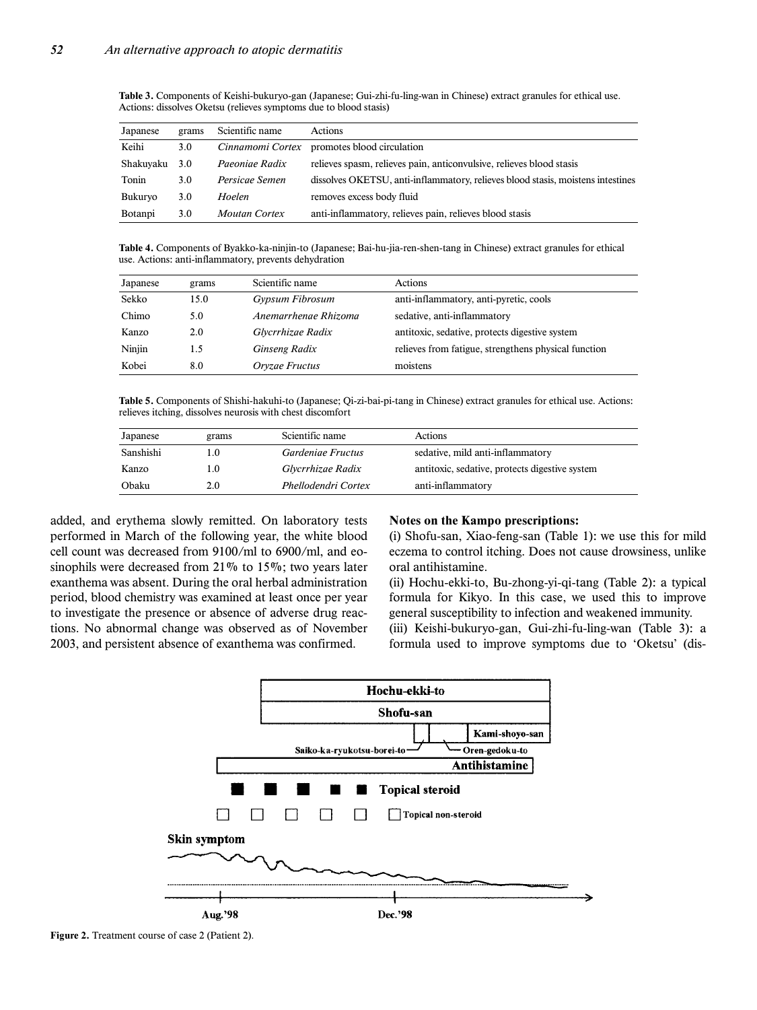| <b>Table 3.</b> Components of Keishi-bukuryo-gan (Japanese; Gui-zhi-fu-ling-wan in Chinese) extract granules for ethical use. |
|-------------------------------------------------------------------------------------------------------------------------------|
| Actions: dissolves Oketsu (relieves symptoms due to blood stasis)                                                             |

| Japanese       | grams | Scientific name      | Actions                                                                         |
|----------------|-------|----------------------|---------------------------------------------------------------------------------|
| Keihi          | 3.0   | Cinnamomi Cortex     | promotes blood circulation                                                      |
| Shakuyaku      | 3.0   | Paeoniae Radix       | relieves spasm, relieves pain, anticonvulsive, relieves blood stasis            |
| Tonin          | 3.0   | Persicae Semen       | dissolves OKETSU, anti-inflammatory, relieves blood stasis, moistens intestines |
| Bukuryo        | 3.0   | Hoelen               | removes excess body fluid                                                       |
| <b>Botanpi</b> | 3.0   | <b>Moutan Cortex</b> | anti-inflammatory, relieves pain, relieves blood stasis                         |

Table 4. Components of Byakko-ka-ninjin-to (Japanese; Bai-hu-jia-ren-shen-tang in Chinese) extract granules for ethical use. Actions: anti-inflammatory, prevents dehydration

| Japanese | grams | Scientific name      | Actions                                              |
|----------|-------|----------------------|------------------------------------------------------|
| Sekko    | 15.0  | Gypsum Fibrosum      | anti-inflammatory, anti-pyretic, cools               |
| Chimo    | 5.0   | Anemarrhenae Rhizoma | sedative, anti-inflammatory                          |
| Kanzo    | 2.0   | Glycrrhizae Radix    | antitoxic, sedative, protects digestive system       |
| Ninjin   | 1.5   | Ginseng Radix        | relieves from fatigue, strengthens physical function |
| Kobei    | 8.0   | Oryzae Fructus       | moistens                                             |

Table 5. Components of Shishi-hakuhi-to (Japanese; Qi-zi-bai-pi-tang in Chinese) extract granules for ethical use. Actions: relieves itching, dissolves neurosis with chest discomfort

| Japanese  | grams | Scientific name     | Actions                                        |
|-----------|-------|---------------------|------------------------------------------------|
| Sanshishi | LO.   | Gardeniae Fructus   | sedative, mild anti-inflammatory               |
| Kanzo     | 1.0   | Glycrrhizae Radix   | antitoxic, sedative, protects digestive system |
| Obaku     | 2.0   | Phellodendri Cortex | anti-inflammatory                              |

added, and erythema slowly remitted. On laboratory tests performed in March of the following year, the white blood cell count was decreased from 9100/ml to 6900/ml, and eosinophils were decreased from  $21\%$  to  $15\%$ ; two years later exanthema was absent. During the oral herbal administration period, blood chemistry was examined at least once per year to investigate the presence or absence of adverse drug reactions. No abnormal change was observed as of November 2003, and persistent absence of exanthema was confirmed.

#### Notes on the Kampo prescriptions:

(i) Shofu-san, Xiao-feng-san (Table 1): we use this for mild eczema to control itching. Does not cause drowsiness, unlike oral antihistamine.

(ii) Hochu-ekki-to, Bu-zhong-yi-qi-tang (Table 2): a typical formula for Kikyo. In this case, we used this to improve general susceptibility to infection and weakened immunity.

(iii) Keishi-bukuryo-gan, Gui-zhi-fu-ling-wan (Table 3): a formula used to improve symptoms due to 'Oketsu' (dis-



Figure 2. Treatment course of case 2 (Patient 2).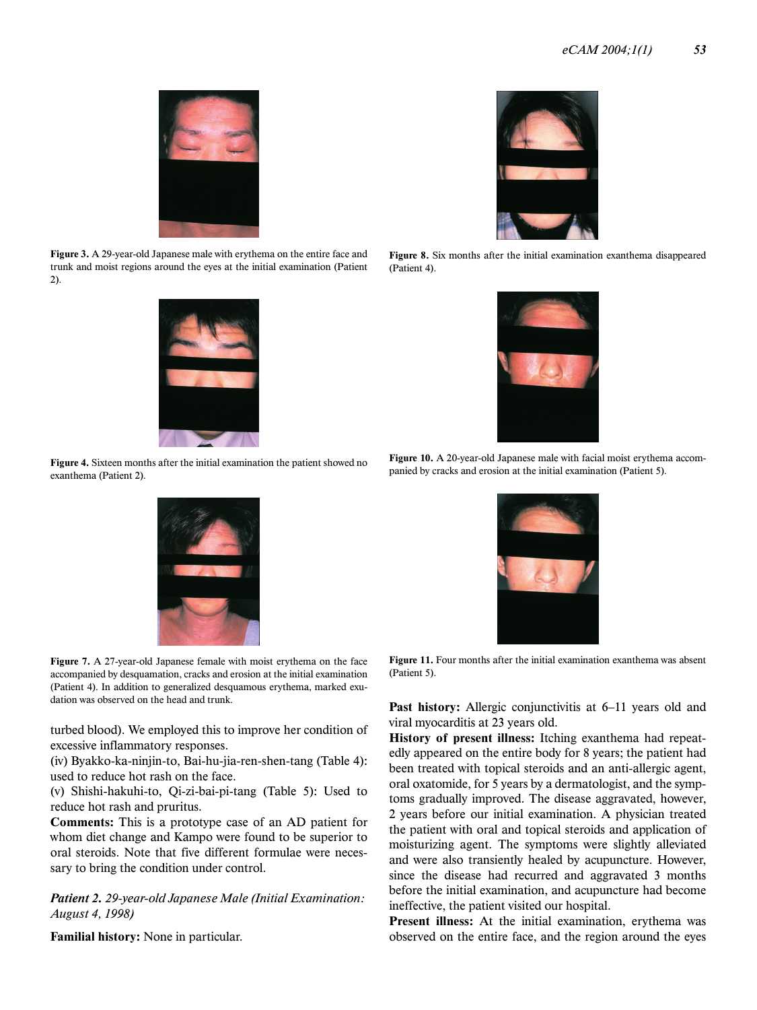

Figure 3. A 29-year-old Japanese male with erythema on the entire face and trunk and moist regions around the eyes at the initial examination (Patient 2).



Figure 4. Sixteen months after the initial examination the patient showed no exanthema (Patient 2).



Figure 7. A 27-year-old Japanese female with moist erythema on the face accompanied by desquamation, cracks and erosion at the initial examination (Patient 4). In addition to generalized desquamous erythema, marked exudation was observed on the head and trunk.

turbed blood). We employed this to improve her condition of excessive inflammatory responses.

(iv) Byakko-ka-ninjin-to, Bai-hu-jia-ren-shen-tang (Table 4): used to reduce hot rash on the face.

(v) Shishi-hakuhi-to, Qi-zi-bai-pi-tang (Table 5): Used to reduce hot rash and pruritus.

Comments: This is a prototype case of an AD patient for whom diet change and Kampo were found to be superior to oral steroids. Note that five different formulae were necessary to bring the condition under control.

Patient 2. 29-year-old Japanese Male (Initial Examination: August 4, 1998)

Familial history: None in particular.



Figure 8. Six months after the initial examination exanthema disappeared (Patient 4).



Figure 10. A 20-year-old Japanese male with facial moist erythema accompanied by cracks and erosion at the initial examination (Patient 5).



Figure 11. Four months after the initial examination exanthema was absent (Patient 5).

Past history: Allergic conjunctivitis at 6–11 years old and viral myocarditis at 23 years old.

History of present illness: Itching exanthema had repeatedly appeared on the entire body for 8 years; the patient had been treated with topical steroids and an anti-allergic agent, oral oxatomide, for 5 years by a dermatologist, and the symptoms gradually improved. The disease aggravated, however, 2 years before our initial examination. A physician treated the patient with oral and topical steroids and application of moisturizing agent. The symptoms were slightly alleviated and were also transiently healed by acupuncture. However, since the disease had recurred and aggravated 3 months before the initial examination, and acupuncture had become ineffective, the patient visited our hospital.

Present illness: At the initial examination, erythema was observed on the entire face, and the region around the eyes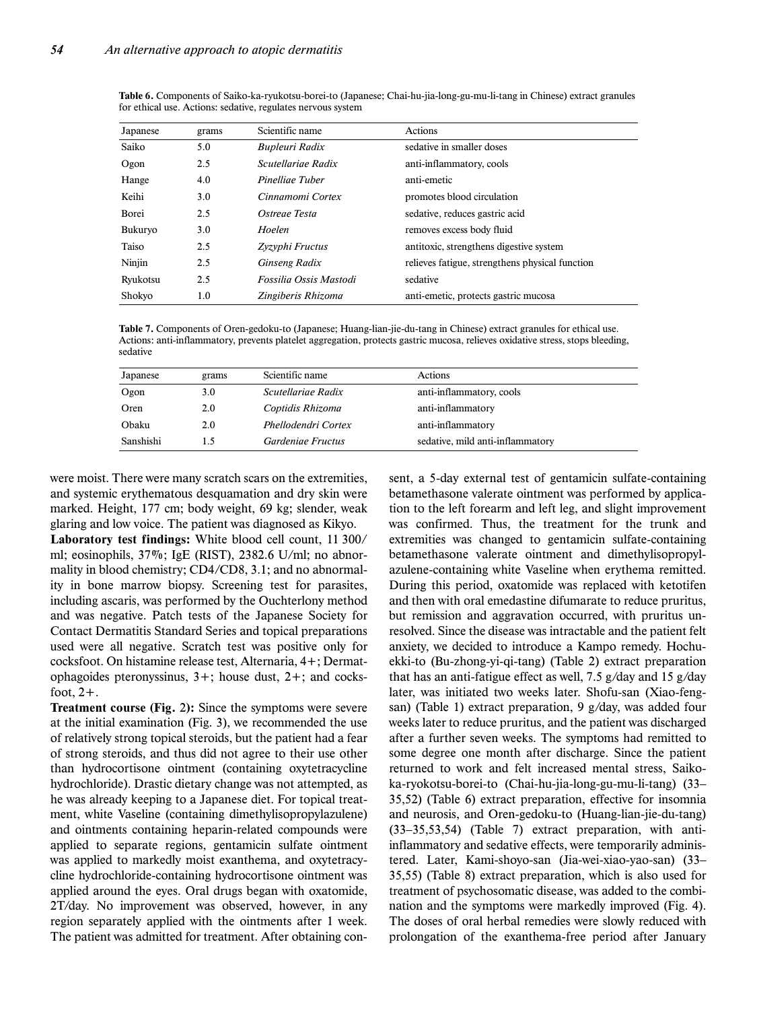| grams | Scientific name        | Actions                                         |
|-------|------------------------|-------------------------------------------------|
| 5.0   | Bupleuri Radix         | sedative in smaller doses                       |
| 2.5   | Scutellariae Radix     | anti-inflammatory, cools                        |
| 4.0   | Pinelliae Tuber        | anti-emetic                                     |
| 3.0   | Cinnamomi Cortex       | promotes blood circulation                      |
| 2.5   | Ostreae Testa          | sedative, reduces gastric acid                  |
| 3.0   | Hoelen                 | removes excess body fluid                       |
| 2.5   | Zyzyphi Fructus        | antitoxic, strengthens digestive system         |
| 2.5   | Ginseng Radix          | relieves fatigue, strengthens physical function |
| 2.5   | Fossilia Ossis Mastodi | sedative                                        |
| 1.0   | Zingiberis Rhizoma     | anti-emetic, protects gastric mucosa            |
|       |                        |                                                 |

Table 6. Components of Saiko-ka-ryukotsu-borei-to (Japanese; Chai-hu-jia-long-gu-mu-li-tang in Chinese) extract granules for ethical use. Actions: sedative, regulates nervous system

Table 7. Components of Oren-gedoku-to (Japanese; Huang-lian-jie-du-tang in Chinese) extract granules for ethical use. Actions: anti-inflammatory, prevents platelet aggregation, protects gastric mucosa, relieves oxidative stress, stops bleeding, sedative

| Japanese  | grams | Scientific name     | Actions                          |
|-----------|-------|---------------------|----------------------------------|
| Ogon      | 3.0   | Scutellariae Radix  | anti-inflammatory, cools         |
| Oren      | 2.0   | Coptidis Rhizoma    | anti-inflammatory                |
| Obaku     | 2.0   | Phellodendri Cortex | anti-inflammatory                |
| Sanshishi | 1.5   | Gardeniae Fructus   | sedative, mild anti-inflammatory |

were moist. There were many scratch scars on the extremities, and systemic erythematous desquamation and dry skin were marked. Height, 177 cm; body weight, 69 kg; slender, weak glaring and low voice. The patient was diagnosed as Kikyo.

Laboratory test findings: White blood cell count, 11 300/ ml; eosinophils, 37%; IgE (RIST), 2382.6 U/ml; no abnormality in blood chemistry; CD4/CD8, 3.1; and no abnormality in bone marrow biopsy. Screening test for parasites, including ascaris, was performed by the Ouchterlony method and was negative. Patch tests of the Japanese Society for Contact Dermatitis Standard Series and topical preparations used were all negative. Scratch test was positive only for cocksfoot. On histamine release test, Alternaria, 4+; Dermatophagoides pteronyssinus, 3+; house dust, 2+; and cocksfoot,  $2+$ .

Treatment course (Fig. [2](#page-13-5)): Since the symptoms were severe at the initial examination (Fig. [3](#page-13-5)), we recommended the use of relatively strong topical steroids, but the patient had a fear of strong steroids, and thus did not agree to their use other than hydrocortisone ointment (containing oxytetracycline hydrochloride). Drastic dietary change was not attempted, as he was already keeping to a Japanese diet. For topical treatment, white Vaseline (containing dimethylisopropylazulene) and ointments containing heparin-related compounds were applied to separate regions, gentamicin sulfate ointment was applied to markedly moist exanthema, and oxytetracycline hydrochloride-containing hydrocortisone ointment was applied around the eyes. Oral drugs began with oxatomide, 2T/day. No improvement was observed, however, in any region separately applied with the ointments after 1 week. The patient was admitted for treatment. After obtaining consent, a 5-day external test of gentamicin sulfate-containing betamethasone valerate ointment was performed by application to the left forearm and left leg, and slight improvement was confirmed. Thus, the treatment for the trunk and extremities was changed to gentamicin sulfate-containing betamethasone valerate ointment and dimethylisopropylazulene-containing white Vaseline when erythema remitted. During this period, oxatomide was replaced with ketotifen and then with oral emedastine difumarate to reduce pruritus, but remission and aggravation occurred, with pruritus unresolved. Since the disease was intractable and the patient felt anxiety, we decided to introduce a Kampo remedy. Hochuekki-to (Bu-zhong-yi-qi-tang) (Table 2) extract preparation that has an anti-fatigue effect as well, 7.5 g/day and 15 g/day later, was initiated two weeks later. Shofu-san (Xiao-fengsan) (Table 1) extract preparation, 9 g/day, was added four weeks later to reduce pruritus, and the patient was discharged after a further seven weeks. The symptoms had remitted to some degree one month after discharge. Since the patient returned to work and felt increased mental stress, Saikoka-ryokotsu-borei-to (Chai-hu-jia-long-gu-mu-li-tang) ([33–](#page-12-10) [35](#page-12-15),[52\)](#page-13-6) (Table 6) extract preparation, effective for insomnia and neurosis, and Oren-gedoku-to (Huang-lian-jie-du-tang) [\(33](#page-12-10)[–35](#page-12-15)[,53](#page-13-7),[54\)](#page-13-8) (Table 7) extract preparation, with antiinflammatory and sedative effects, were temporarily administered. Later, Kami-shoyo-san (Jia-wei-xiao-yao-san) ([33–](#page-12-10) [35](#page-12-15),[55\)](#page-13-9) (Table 8) extract preparation, which is also used for treatment of psychosomatic disease, was added to the combination and the symptoms were markedly improved (Fig. [4\)](#page-13-5). The doses of oral herbal remedies were slowly reduced with prolongation of the exanthema-free period after January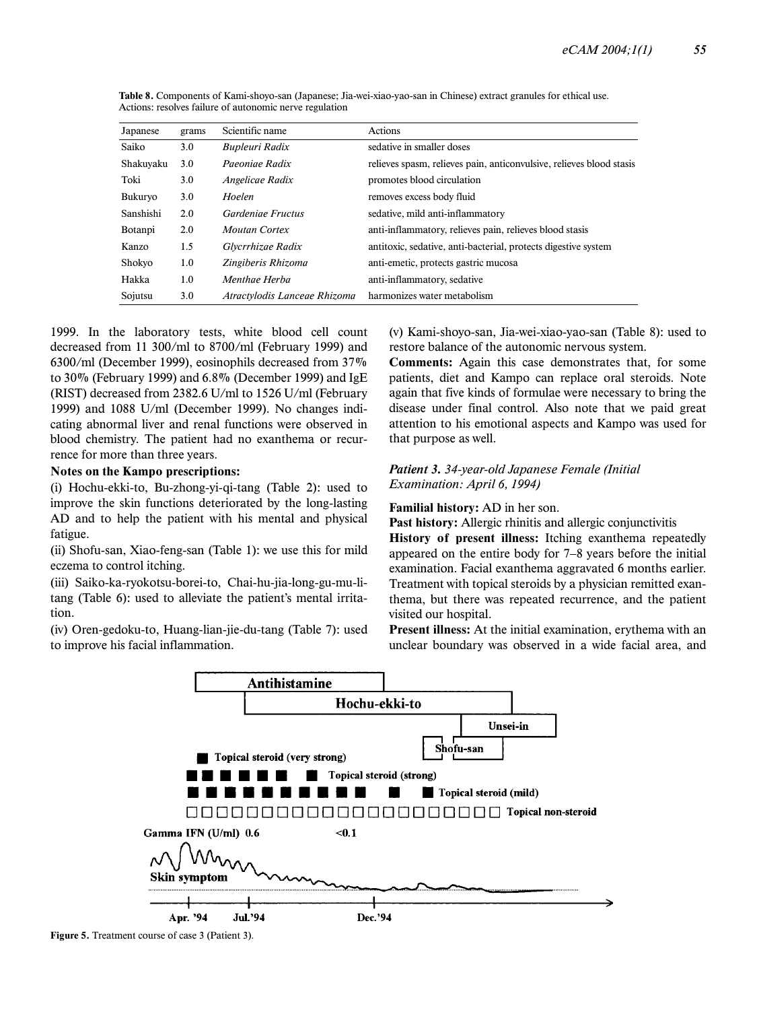| grams | Scientific name              | Actions                                                              |
|-------|------------------------------|----------------------------------------------------------------------|
| 3.0   | Bupleuri Radix               | sedative in smaller doses                                            |
| 3.0   | Paeoniae Radix               | relieves spasm, relieves pain, anticonvulsive, relieves blood stasis |
| 3.0   | Angelicae Radix              | promotes blood circulation                                           |
| 3.0   | Hoelen                       | removes excess body fluid                                            |
| 2.0   | Gardeniae Fructus            | sedative, mild anti-inflammatory                                     |
| 2.0   | <b>Moutan Cortex</b>         | anti-inflammatory, relieves pain, relieves blood stasis              |
| 1.5   | Glycrrhizae Radix            | antitoxic, sedative, anti-bacterial, protects digestive system       |
| 1.0   | Zingiberis Rhizoma           | anti-emetic, protects gastric mucosa                                 |
| 1.0   | Menthae Herba                | anti-inflammatory, sedative                                          |
| 3.0   | Atractylodis Lanceae Rhizoma | harmonizes water metabolism                                          |
|       |                              |                                                                      |

Table 8. Components of Kami-shoyo-san (Japanese; Jia-wei-xiao-yao-san in Chinese) extract granules for ethical use. Actions: resolves failure of autonomic nerve regulation

1999. In the laboratory tests, white blood cell count decreased from 11 300/ml to 8700/ml (February 1999) and 6300/ml (December 1999), eosinophils decreased from 37% to 30% (February 1999) and 6.8% (December 1999) and IgE (RIST) decreased from 2382.6 U/ml to 1526 U/ml (February 1999) and 1088 U/ml (December 1999). No changes indicating abnormal liver and renal functions were observed in blood chemistry. The patient had no exanthema or recurrence for more than three years.

## Notes on the Kampo prescriptions:

(i) Hochu-ekki-to, Bu-zhong-yi-qi-tang (Table 2): used to improve the skin functions deteriorated by the long-lasting AD and to help the patient with his mental and physical fatigue.

(ii) Shofu-san, Xiao-feng-san (Table 1): we use this for mild eczema to control itching.

(iii) Saiko-ka-ryokotsu-borei-to, Chai-hu-jia-long-gu-mu-litang (Table 6): used to alleviate the patient's mental irritation.

(iv) Oren-gedoku-to, Huang-lian-jie-du-tang (Table 7): used to improve his facial inflammation.

(v) Kami-shoyo-san, Jia-wei-xiao-yao-san (Table 8): used to restore balance of the autonomic nervous system.

Comments: Again this case demonstrates that, for some patients, diet and Kampo can replace oral steroids. Note again that five kinds of formulae were necessary to bring the disease under final control. Also note that we paid great attention to his emotional aspects and Kampo was used for that purpose as well.

# Patient 3. 34-year-old Japanese Female (Initial Examination: April 6, 1994)

## Familial history: AD in her son.

Past history: Allergic rhinitis and allergic conjunctivitis

History of present illness: Itching exanthema repeatedly appeared on the entire body for 7–8 years before the initial examination. Facial exanthema aggravated 6 months earlier. Treatment with topical steroids by a physician remitted exanthema, but there was repeated recurrence, and the patient visited our hospital.

Present illness: At the initial examination, erythema with an unclear boundary was observed in a wide facial area, and



Figure 5. Treatment course of case 3 (Patient 3).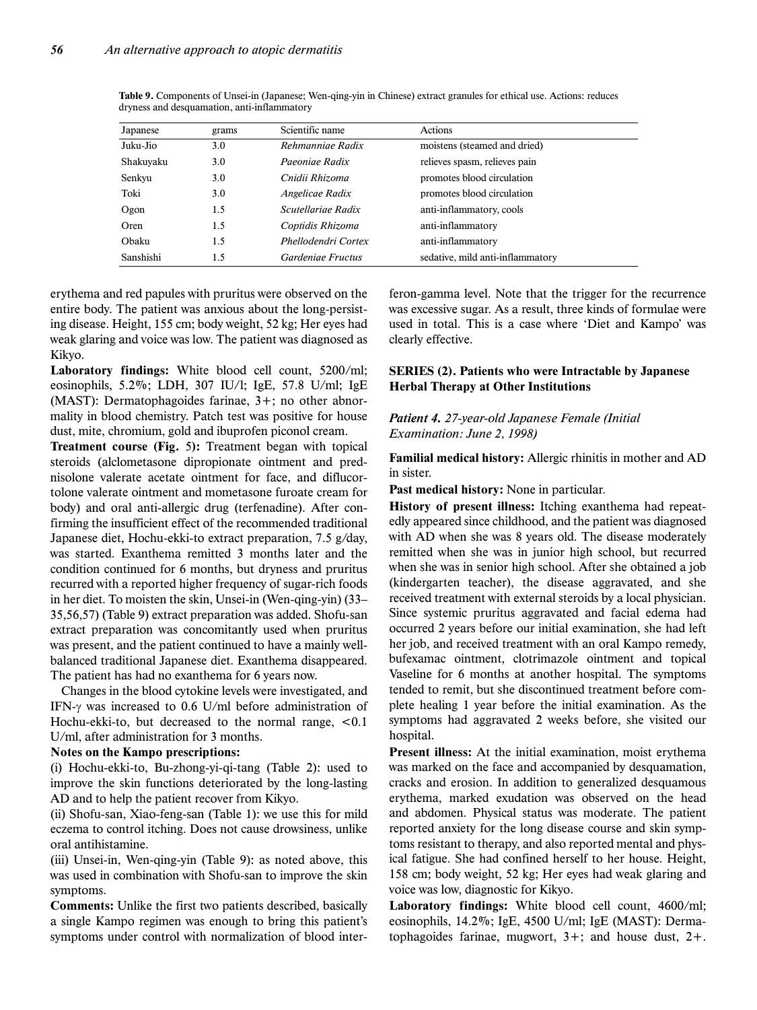| Japanese  | grams | Scientific name     | Actions                          |
|-----------|-------|---------------------|----------------------------------|
| Juku-Jio  | 3.0   | Rehmanniae Radix    | moistens (steamed and dried)     |
| Shakuyaku | 3.0   | Paeoniae Radix      | relieves spasm, relieves pain    |
| Senkyu    | 3.0   | Cnidii Rhizoma      | promotes blood circulation       |
| Toki      | 3.0   | Angelicae Radix     | promotes blood circulation       |
| Ogon      | 1.5   | Scutellariae Radix  | anti-inflammatory, cools         |
| Oren      | 1.5   | Coptidis Rhizoma    | anti-inflammatory                |
| Obaku     | 1.5   | Phellodendri Cortex | anti-inflammatory                |
| Sanshishi | 1.5   | Gardeniae Fructus   | sedative, mild anti-inflammatory |

Table 9. Components of Unsei-in (Japanese; Wen-qing-yin in Chinese) extract granules for ethical use. Actions: reduces dryness and desquamation, anti-inflammatory

erythema and red papules with pruritus were observed on the entire body. The patient was anxious about the long-persisting disease. Height, 155 cm; body weight, 52 kg; Her eyes had weak glaring and voice was low. The patient was diagnosed as Kikyo.

Laboratory findings: White blood cell count, 5200/ml; eosinophils, 5.2%; LDH, 307 IU/l; IgE, 57.8 U/ml; IgE (MAST): Dermatophagoides farinae, 3+; no other abnormality in blood chemistry. Patch test was positive for house dust, mite, chromium, gold and ibuprofen piconol cream.

Treatment course (Fig. [5](#page-13-5)): Treatment began with topical steroids (alclometasone dipropionate ointment and prednisolone valerate acetate ointment for face, and diflucortolone valerate ointment and mometasone furoate cream for body) and oral anti-allergic drug (terfenadine). After confirming the insufficient effect of the recommended traditional Japanese diet, Hochu-ekki-to extract preparation, 7.5 g/day, was started. Exanthema remitted 3 months later and the condition continued for 6 months, but dryness and pruritus recurred with a reported higher frequency of sugar-rich foods in her diet. To moisten the skin, Unsei-in (Wen-qing-yin) [\(33](#page-12-10)– [35,](#page-12-15)[56](#page-13-10),[57\)](#page-13-11) (Table 9) extract preparation was added. Shofu-san extract preparation was concomitantly used when pruritus was present, and the patient continued to have a mainly wellbalanced traditional Japanese diet. Exanthema disappeared. The patient has had no exanthema for 6 years now.

Changes in the blood cytokine levels were investigated, and IFN-γ was increased to 0.6 U/ml before administration of Hochu-ekki-to, but decreased to the normal range,  $< 0.1$ U/ml, after administration for 3 months.

### Notes on the Kampo prescriptions:

(i) Hochu-ekki-to, Bu-zhong-yi-qi-tang (Table 2): used to improve the skin functions deteriorated by the long-lasting AD and to help the patient recover from Kikyo.

(ii) Shofu-san, Xiao-feng-san (Table 1): we use this for mild eczema to control itching. Does not cause drowsiness, unlike oral antihistamine.

(iii) Unsei-in, Wen-qing-yin (Table 9): as noted above, this was used in combination with Shofu-san to improve the skin symptoms.

Comments: Unlike the first two patients described, basically a single Kampo regimen was enough to bring this patient's symptoms under control with normalization of blood interferon-gamma level. Note that the trigger for the recurrence was excessive sugar. As a result, three kinds of formulae were used in total. This is a case where 'Diet and Kampo' was clearly effective.

## SERIES (2). Patients who were Intractable by Japanese Herbal Therapy at Other Institutions

## Patient 4. 27-year-old Japanese Female (Initial Examination: June 2, 1998)

Familial medical history: Allergic rhinitis in mother and AD in sister.

Past medical history: None in particular.

History of present illness: Itching exanthema had repeatedly appeared since childhood, and the patient was diagnosed with AD when she was 8 years old. The disease moderately remitted when she was in junior high school, but recurred when she was in senior high school. After she obtained a job (kindergarten teacher), the disease aggravated, and she received treatment with external steroids by a local physician. Since systemic pruritus aggravated and facial edema had occurred 2 years before our initial examination, she had left her job, and received treatment with an oral Kampo remedy, bufexamac ointment, clotrimazole ointment and topical Vaseline for 6 months at another hospital. The symptoms tended to remit, but she discontinued treatment before complete healing 1 year before the initial examination. As the symptoms had aggravated 2 weeks before, she visited our hospital.

Present illness: At the initial examination, moist erythema was marked on the face and accompanied by desquamation, cracks and erosion. In addition to generalized desquamous erythema, marked exudation was observed on the head and abdomen. Physical status was moderate. The patient reported anxiety for the long disease course and skin symptoms resistant to therapy, and also reported mental and physical fatigue. She had confined herself to her house. Height, 158 cm; body weight, 52 kg; Her eyes had weak glaring and voice was low, diagnostic for Kikyo.

Laboratory findings: White blood cell count, 4600/ml; eosinophils, 14.2%; IgE, 4500 U/ml; IgE (MAST): Dermatophagoides farinae, mugwort, 3+; and house dust, 2+.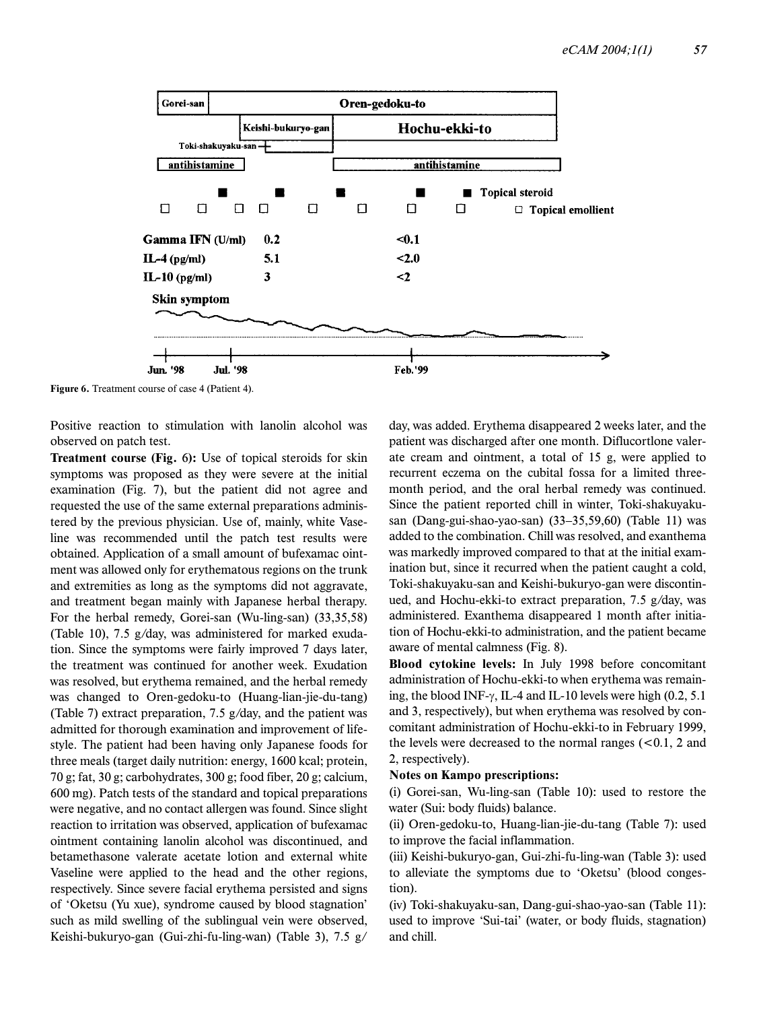

Figure 6. Treatment course of case 4 (Patient 4).

Positive reaction to stimulation with lanolin alcohol was observed on patch test.

Treatment course (Fig. [6](#page-13-5)): Use of topical steroids for skin symptoms was proposed as they were severe at the initial examination (Fig. [7\)](#page-13-5), but the patient did not agree and requested the use of the same external preparations administered by the previous physician. Use of, mainly, white Vaseline was recommended until the patch test results were obtained. Application of a small amount of bufexamac ointment was allowed only for erythematous regions on the trunk and extremities as long as the symptoms did not aggravate, and treatment began mainly with Japanese herbal therapy. For the herbal remedy, Gorei-san (Wu-ling-san) ([33,](#page-12-10)[35](#page-12-15),[58\)](#page-13-12) (Table 10), 7.5 g/day, was administered for marked exudation. Since the symptoms were fairly improved 7 days later, the treatment was continued for another week. Exudation was resolved, but erythema remained, and the herbal remedy was changed to Oren-gedoku-to (Huang-lian-jie-du-tang) (Table 7) extract preparation, 7.5 g/day, and the patient was admitted for thorough examination and improvement of lifestyle. The patient had been having only Japanese foods for three meals (target daily nutrition: energy, 1600 kcal; protein, 70 g; fat, 30 g; carbohydrates, 300 g; food fiber, 20 g; calcium, 600 mg). Patch tests of the standard and topical preparations were negative, and no contact allergen was found. Since slight reaction to irritation was observed, application of bufexamac ointment containing lanolin alcohol was discontinued, and betamethasone valerate acetate lotion and external white Vaseline were applied to the head and the other regions, respectively. Since severe facial erythema persisted and signs of 'Oketsu (Yu xue), syndrome caused by blood stagnation' such as mild swelling of the sublingual vein were observed, Keishi-bukuryo-gan (Gui-zhi-fu-ling-wan) (Table 3), 7.5 g/

day, was added. Erythema disappeared 2 weeks later, and the patient was discharged after one month. Diflucortlone valerate cream and ointment, a total of 15 g, were applied to recurrent eczema on the cubital fossa for a limited threemonth period, and the oral herbal remedy was continued. Since the patient reported chill in winter, Toki-shakuyakusan (Dang-gui-shao-yao-san) [\(33](#page-12-10)[–35](#page-12-15),[59,](#page-13-13)[60](#page-13-14)) (Table 11) was added to the combination. Chill was resolved, and exanthema was markedly improved compared to that at the initial examination but, since it recurred when the patient caught a cold, Toki-shakuyaku-san and Keishi-bukuryo-gan were discontinued, and Hochu-ekki-to extract preparation, 7.5 g/day, was administered. Exanthema disappeared 1 month after initiation of Hochu-ekki-to administration, and the patient became aware of mental calmness (Fig. [8\)](#page-13-5).

Blood cytokine levels: In July 1998 before concomitant administration of Hochu-ekki-to when erythema was remaining, the blood INF-γ, IL-4 and IL-10 levels were high (0.2, 5.1 and 3, respectively), but when erythema was resolved by concomitant administration of Hochu-ekki-to in February 1999, the levels were decreased to the normal ranges  $(< 0.1, 2$  and 2, respectively).

#### Notes on Kampo prescriptions:

(i) Gorei-san, Wu-ling-san (Table 10): used to restore the water (Sui: body fluids) balance.

(ii) Oren-gedoku-to, Huang-lian-jie-du-tang (Table 7): used to improve the facial inflammation.

(iii) Keishi-bukuryo-gan, Gui-zhi-fu-ling-wan (Table 3): used to alleviate the symptoms due to 'Oketsu' (blood congestion).

(iv) Toki-shakuyaku-san, Dang-gui-shao-yao-san (Table 11): used to improve 'Sui-tai' (water, or body fluids, stagnation) and chill.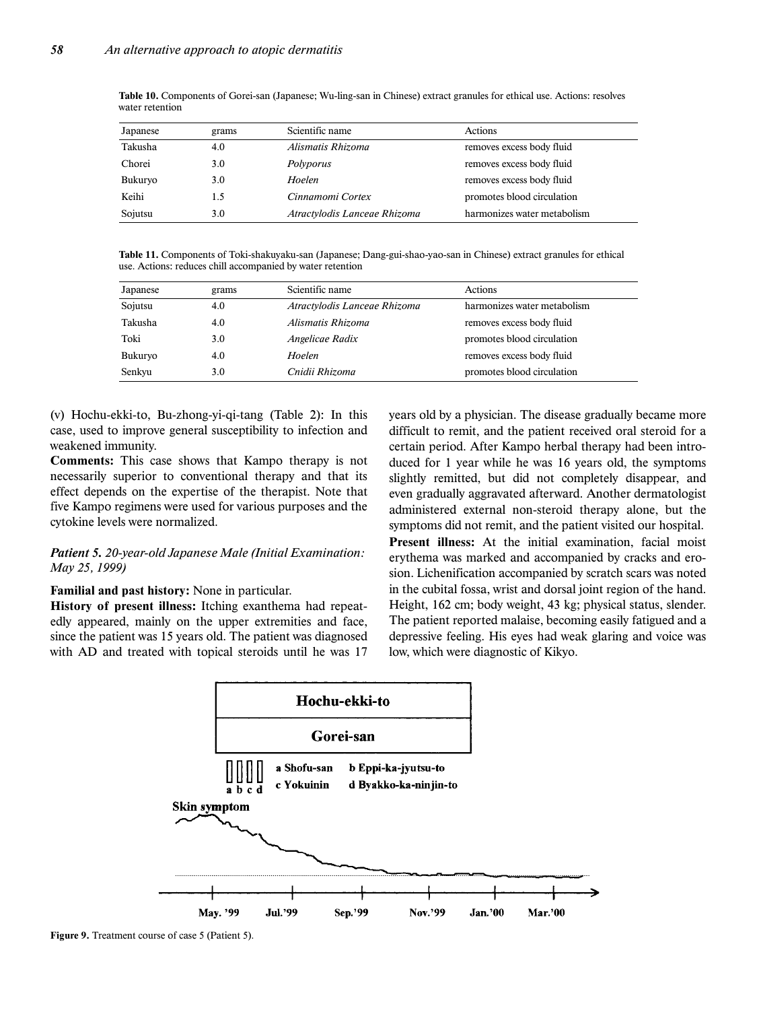Table 10. Components of Gorei-san (Japanese; Wu-ling-san in Chinese) extract granules for ethical use. Actions: resolves water retention

| Japanese       | grams | Scientific name              | Actions                     |
|----------------|-------|------------------------------|-----------------------------|
| Takusha        | 4.0   | Alismatis Rhizoma            | removes excess body fluid   |
| Chorei         | 3.0   | Polyporus                    | removes excess body fluid   |
| <b>Bukuryo</b> | 3.0   | Hoelen                       | removes excess body fluid   |
| Keihi          | 1.5   | Cinnamomi Cortex             | promotes blood circulation  |
| Sojutsu        | 3.0   | Atractylodis Lanceae Rhizoma | harmonizes water metabolism |

Table 11. Components of Toki-shakuyaku-san (Japanese; Dang-gui-shao-yao-san in Chinese) extract granules for ethical use. Actions: reduces chill accompanied by water retention

| Japanese | grams | Scientific name              | Actions                     |
|----------|-------|------------------------------|-----------------------------|
| Sojutsu  | 4.0   | Atractylodis Lanceae Rhizoma | harmonizes water metabolism |
| Takusha  | 4.0   | Alismatis Rhizoma            | removes excess body fluid   |
| Toki     | 3.0   | Angelicae Radix              | promotes blood circulation  |
| Bukuryo  | 4.0   | Hoelen                       | removes excess body fluid   |
| Senkyu   | 3.0   | Cnidii Rhizoma               | promotes blood circulation  |
|          |       |                              |                             |

(v) Hochu-ekki-to, Bu-zhong-yi-qi-tang (Table 2): In this case, used to improve general susceptibility to infection and weakened immunity.

Comments: This case shows that Kampo therapy is not necessarily superior to conventional therapy and that its effect depends on the expertise of the therapist. Note that five Kampo regimens were used for various purposes and the cytokine levels were normalized.

## Patient 5. 20-year-old Japanese Male (Initial Examination: May 25, 1999)

#### Familial and past history: None in particular.

History of present illness: Itching exanthema had repeatedly appeared, mainly on the upper extremities and face, since the patient was 15 years old. The patient was diagnosed with AD and treated with topical steroids until he was 17 years old by a physician. The disease gradually became more difficult to remit, and the patient received oral steroid for a certain period. After Kampo herbal therapy had been introduced for 1 year while he was 16 years old, the symptoms slightly remitted, but did not completely disappear, and even gradually aggravated afterward. Another dermatologist administered external non-steroid therapy alone, but the symptoms did not remit, and the patient visited our hospital. Present illness: At the initial examination, facial moist erythema was marked and accompanied by cracks and erosion. Lichenification accompanied by scratch scars was noted in the cubital fossa, wrist and dorsal joint region of the hand. Height, 162 cm; body weight, 43 kg; physical status, slender. The patient reported malaise, becoming easily fatigued and a depressive feeling. His eyes had weak glaring and voice was low, which were diagnostic of Kikyo.



Figure 9. Treatment course of case 5 (Patient 5).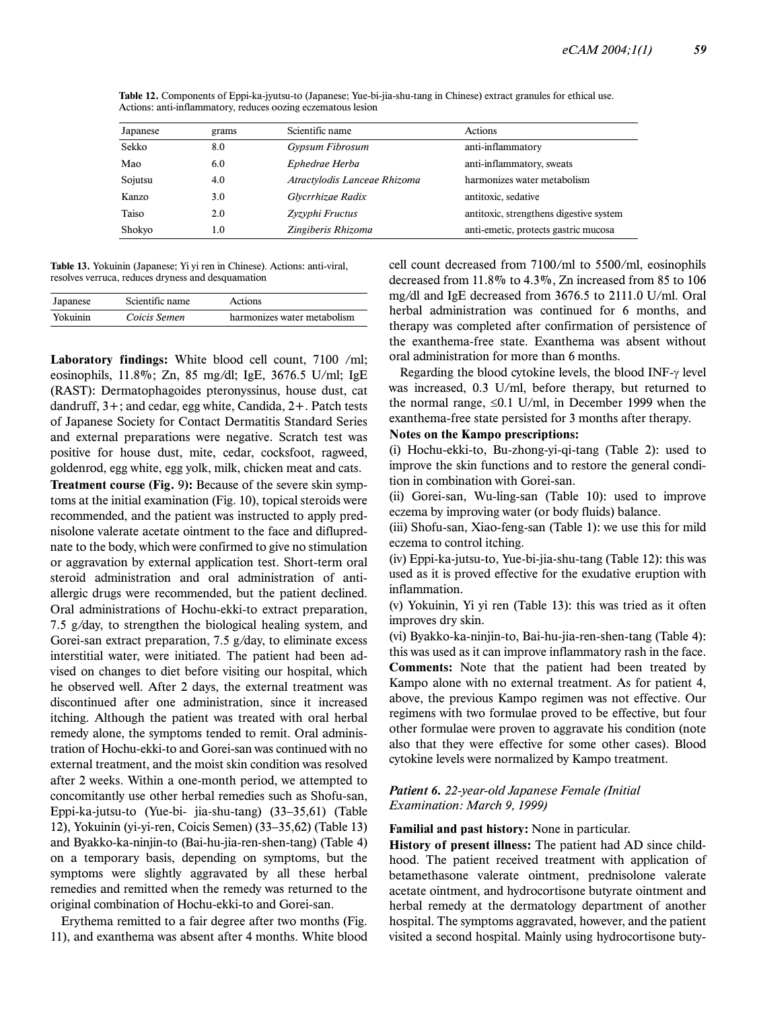Japanese grams Scientific name Actions Sekko 8.0 *Gypsum Fibrosum* anti-inflammatory Mao 6.0 *Ephedrae Herba* anti-inflammatory, sweats

Table 12. Components of Eppi-ka-jyutsu-to (Japanese; Yue-bi-jia-shu-tang in Chinese) extract granules for ethical use. Actions: anti-inflammatory, reduces oozing eczematous lesion

| Japanese | gianis | эсктинг нашс                 | AUUUIS                                  |
|----------|--------|------------------------------|-----------------------------------------|
| Sekko    | 8.0    | Gypsum Fibrosum              | anti-inflammatory                       |
| Mao      | 6.0    | Ephedrae Herba               | anti-inflammatory, sweats               |
| Sojutsu  | 4.0    | Atractylodis Lanceae Rhizoma | harmonizes water metabolism             |
| Kanzo    | 3.0    | Glycrrhizae Radix            | antitoxic, sedative                     |
| Taiso    | 2.0    | Zyzyphi Fructus              | antitoxic, strengthens digestive system |
| Shokyo   | 1.0    | Zingiberis Rhizoma           | anti-emetic, protects gastric mucosa    |

Table 13. Yokuinin (Japanese; Yi yi ren in Chinese). Actions: anti-viral, resolves verruca, reduces dryness and desquamation

| Japanese | Scientific name | Actions                     |
|----------|-----------------|-----------------------------|
| Yokuinin | Coicis Semen    | harmonizes water metabolism |

Laboratory findings: White blood cell count, 7100 /ml; eosinophils, 11.8%; Zn, 85 mg/dl; IgE, 3676.5 U/ml; IgE (RAST): Dermatophagoides pteronyssinus, house dust, cat dandruff, 3+; and cedar, egg white, Candida, 2+. Patch tests of Japanese Society for Contact Dermatitis Standard Series and external preparations were negative. Scratch test was positive for house dust, mite, cedar, cocksfoot, ragweed, goldenrod, egg white, egg yolk, milk, chicken meat and cats.

Treatment course (Fig. [9](#page-13-5)): Because of the severe skin symptoms at the initial examination (Fig. [10](#page-13-5)), topical steroids were recommended, and the patient was instructed to apply prednisolone valerate acetate ointment to the face and difluprednate to the body, which were confirmed to give no stimulation or aggravation by external application test. Short-term oral steroid administration and oral administration of antiallergic drugs were recommended, but the patient declined. Oral administrations of Hochu-ekki-to extract preparation, 7.5 g/day, to strengthen the biological healing system, and Gorei-san extract preparation, 7.5 g/day, to eliminate excess interstitial water, were initiated. The patient had been advised on changes to diet before visiting our hospital, which he observed well. After 2 days, the external treatment was discontinued after one administration, since it increased itching. Although the patient was treated with oral herbal remedy alone, the symptoms tended to remit. Oral administration of Hochu-ekki-to and Gorei-san was continued with no external treatment, and the moist skin condition was resolved after 2 weeks. Within a one-month period, we attempted to concomitantly use other herbal remedies such as Shofu-san, Eppi-ka-jutsu-to (Yue-bi- jia-shu-tang) ([33–](#page-12-10)[35,](#page-12-15)[61](#page-13-15)) (Table 12), Yokuinin (yi-yi-ren, Coicis Semen) [\(33](#page-12-10)[–35](#page-12-15),[62\)](#page-13-16) (Table 13) and Byakko-ka-ninjin-to (Bai-hu-jia-ren-shen-tang) (Table 4) on a temporary basis, depending on symptoms, but the symptoms were slightly aggravated by all these herbal remedies and remitted when the remedy was returned to the original combination of Hochu-ekki-to and Gorei-san.

Erythema remitted to a fair degree after two months (Fig. [11](#page-13-5)), and exanthema was absent after 4 months. White blood cell count decreased from 7100/ml to 5500/ml, eosinophils decreased from 11.8% to 4.3%, Zn increased from 85 to 106 mg/dl and IgE decreased from 3676.5 to 2111.0 U/ml. Oral herbal administration was continued for 6 months, and therapy was completed after confirmation of persistence of the exanthema-free state. Exanthema was absent without oral administration for more than 6 months.

Regarding the blood cytokine levels, the blood INF-γ level was increased, 0.3 U/ml, before therapy, but returned to the normal range,  $\leq 0.1$  U/ml, in December 1999 when the exanthema-free state persisted for 3 months after therapy.

## Notes on the Kampo prescriptions:

(i) Hochu-ekki-to, Bu-zhong-yi-qi-tang (Table 2): used to improve the skin functions and to restore the general condition in combination with Gorei-san.

(ii) Gorei-san, Wu-ling-san (Table 10): used to improve eczema by improving water (or body fluids) balance.

(iii) Shofu-san, Xiao-feng-san (Table 1): we use this for mild eczema to control itching.

(iv) Eppi-ka-jutsu-to, Yue-bi-jia-shu-tang (Table 12): this was used as it is proved effective for the exudative eruption with inflammation.

(v) Yokuinin, Yi yi ren (Table 13): this was tried as it often improves dry skin.

(vi) Byakko-ka-ninjin-to, Bai-hu-jia-ren-shen-tang (Table 4): this was used as it can improve inflammatory rash in the face. Comments: Note that the patient had been treated by Kampo alone with no external treatment. As for patient 4, above, the previous Kampo regimen was not effective. Our regimens with two formulae proved to be effective, but four other formulae were proven to aggravate his condition (note also that they were effective for some other cases). Blood cytokine levels were normalized by Kampo treatment.

# Patient 6. 22-year-old Japanese Female (Initial Examination: March 9, 1999)

# Familial and past history: None in particular.

History of present illness: The patient had AD since childhood. The patient received treatment with application of betamethasone valerate ointment, prednisolone valerate acetate ointment, and hydrocortisone butyrate ointment and herbal remedy at the dermatology department of another hospital. The symptoms aggravated, however, and the patient visited a second hospital. Mainly using hydrocortisone buty-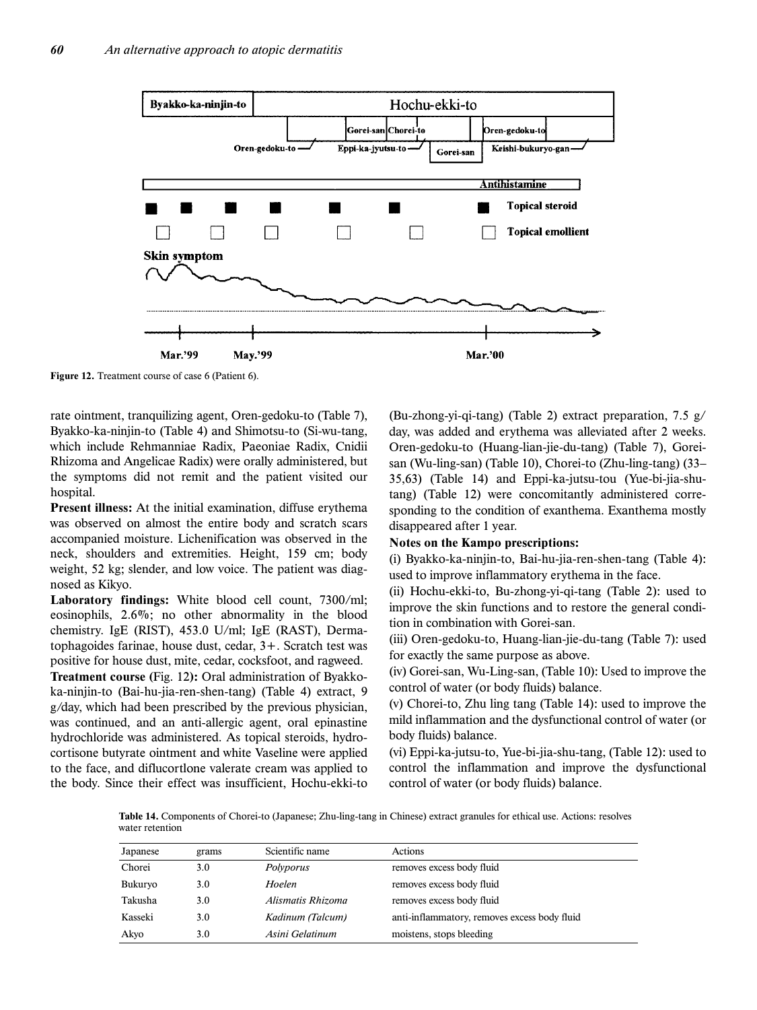

Figure 12. Treatment course of case 6 (Patient 6).

rate ointment, tranquilizing agent, Oren-gedoku-to (Table 7), Byakko-ka-ninjin-to (Table 4) and Shimotsu-to (Si-wu-tang, which include Rehmanniae Radix, Paeoniae Radix, Cnidii Rhizoma and Angelicae Radix) were orally administered, but the symptoms did not remit and the patient visited our hospital.

Present illness: At the initial examination, diffuse erythema was observed on almost the entire body and scratch scars accompanied moisture. Lichenification was observed in the neck, shoulders and extremities. Height, 159 cm; body weight, 52 kg; slender, and low voice. The patient was diagnosed as Kikyo.

Laboratory findings: White blood cell count, 7300/ml; eosinophils, 2.6%; no other abnormality in the blood chemistry. IgE (RIST), 453.0 U/ml; IgE (RAST), Dermatophagoides farinae, house dust, cedar, 3+. Scratch test was positive for house dust, mite, cedar, cocksfoot, and ragweed.

Treatment course (Fig. [12](#page-13-5)): Oral administration of Byakkoka-ninjin-to (Bai-hu-jia-ren-shen-tang) (Table 4) extract, 9 g/day, which had been prescribed by the previous physician, was continued, and an anti-allergic agent, oral epinastine hydrochloride was administered. As topical steroids, hydrocortisone butyrate ointment and white Vaseline were applied to the face, and diflucortlone valerate cream was applied to the body. Since their effect was insufficient, Hochu-ekki-to (Bu-zhong-yi-qi-tang) (Table 2) extract preparation, 7.5 g/ day, was added and erythema was alleviated after 2 weeks. Oren-gedoku-to (Huang-lian-jie-du-tang) (Table 7), Goreisan (Wu-ling-san) (Table 10), Chorei-to (Zhu-ling-tang) ([33–](#page-12-10) [35](#page-12-15),[63\)](#page-13-17) (Table 14) and Eppi-ka-jutsu-tou (Yue-bi-jia-shutang) (Table 12) were concomitantly administered corresponding to the condition of exanthema. Exanthema mostly disappeared after 1 year.

#### Notes on the Kampo prescriptions:

(i) Byakko-ka-ninjin-to, Bai-hu-jia-ren-shen-tang (Table 4): used to improve inflammatory erythema in the face.

(ii) Hochu-ekki-to, Bu-zhong-yi-qi-tang (Table 2): used to improve the skin functions and to restore the general condition in combination with Gorei-san.

(iii) Oren-gedoku-to, Huang-lian-jie-du-tang (Table 7): used for exactly the same purpose as above.

(iv) Gorei-san, Wu-Ling-san, (Table 10): Used to improve the control of water (or body fluids) balance.

(v) Chorei-to, Zhu ling tang (Table 14): used to improve the mild inflammation and the dysfunctional control of water (or body fluids) balance.

(vi) Eppi-ka-jutsu-to, Yue-bi-jia-shu-tang, (Table 12): used to control the inflammation and improve the dysfunctional control of water (or body fluids) balance.

Table 14. Components of Chorei-to (Japanese; Zhu-ling-tang in Chinese) extract granules for ethical use. Actions: resolves water retention

| Japanese       | grams | Scientific name   | Actions                                      |
|----------------|-------|-------------------|----------------------------------------------|
| Chorei         | 3.0   | Polyporus         | removes excess body fluid                    |
| <b>Bukuryo</b> | 3.0   | Hoelen            | removes excess body fluid                    |
| Takusha        | 3.0   | Alismatis Rhizoma | removes excess body fluid                    |
| Kasseki        | 3.0   | Kadinum (Talcum)  | anti-inflammatory, removes excess body fluid |
| Akyo           | 3.0   | Asini Gelatinum   | moistens, stops bleeding                     |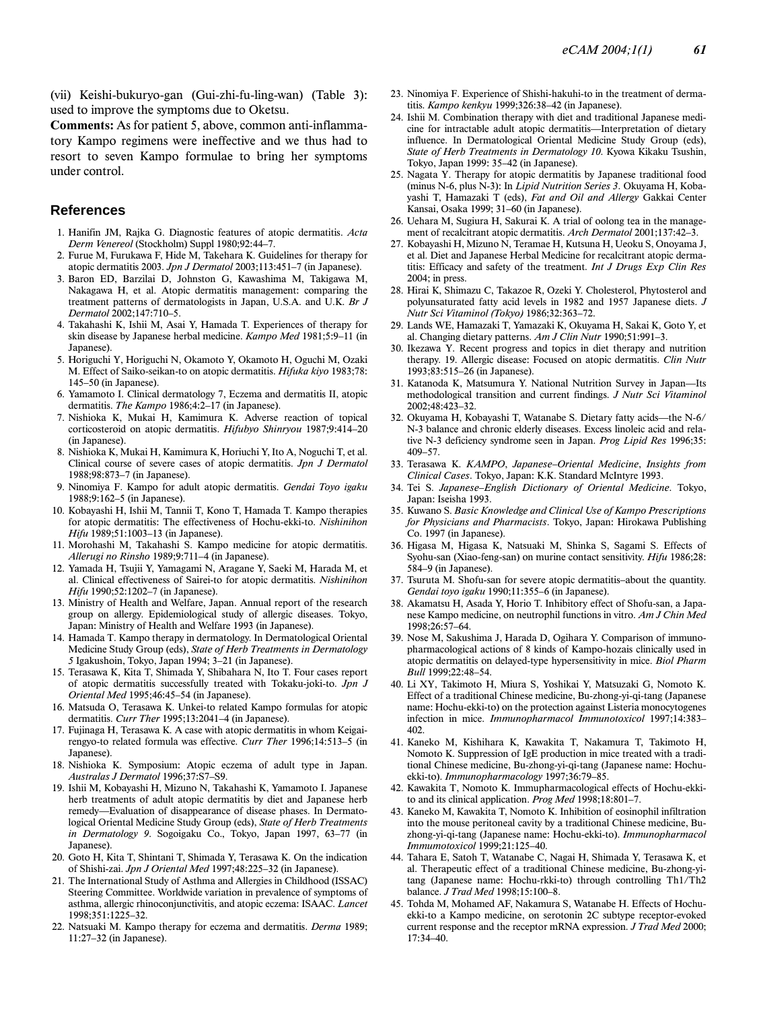(vii) Keishi-bukuryo-gan (Gui-zhi-fu-ling-wan) (Table 3): used to improve the symptoms due to Oketsu.

Comments: As for patient 5, above, common anti-inflammatory Kampo regimens were ineffective and we thus had to resort to seven Kampo formulae to bring her symptoms under control.

## **References**

- <span id="page-12-0"></span>1. Hanifin JM, Rajka G. Diagnostic features of atopic dermatitis. Acta Derm Venereol (Stockholm) Suppl 1980;92:44–7.
- <span id="page-12-1"></span>2. Furue M, Furukawa F, Hide M, Takehara K. Guidelines for therapy for atopic dermatitis 2003. Jpn J Dermatol 2003;113:451–7 (in Japanese).
- <span id="page-12-2"></span>3. Baron ED, Barzilai D, Johnston G, Kawashima M, Takigawa M, Nakagawa H, et al. Atopic dermatitis management: comparing the treatment patterns of dermatologists in Japan, U.S.A. and U.K. Br J Dermatol 2002;147:710–5.
- <span id="page-12-3"></span>4. Takahashi K, Ishii M, Asai Y, Hamada T. Experiences of therapy for skin disease by Japanese herbal medicine. Kampo Med 1981;5:9–11 (in Japanese).
- 5. Horiguchi Y, Horiguchi N, Okamoto Y, Okamoto H, Oguchi M, Ozaki M. Effect of Saiko-seikan-to on atopic dermatitis. Hifuka kiyo 1983;78: 145–50 (in Japanese).
- <span id="page-12-12"></span>6. Yamamoto I. Clinical dermatology 7, Eczema and dermatitis II, atopic dermatitis. The Kampo 1986;4:2–17 (in Japanese).
- 7. Nishioka K, Mukai H, Kamimura K. Adverse reaction of topical corticosteroid on atopic dermatitis. Hifubyo Shinryou 1987;9:414–20 (in Japanese).
- 8. Nishioka K, Mukai H, Kamimura K, Horiuchi Y, Ito A, Noguchi T, et al. Clinical course of severe cases of atopic dermatitis. Jpn J Dermatol 1988;98:873–7 (in Japanese).
- 9. Ninomiya F. Kampo for adult atopic dermatitis. Gendai Toyo igaku 1988;9:162–5 (in Japanese).
- <span id="page-12-5"></span>10. Kobayashi H, Ishii M, Tannii T, Kono T, Hamada T. Kampo therapies for atopic dermatitis: The effectiveness of Hochu-ekki-to. Nishinihon Hifu 1989;51:1003-13 (in Japanese).
- 11. Morohashi M, Takahashi S. Kampo medicine for atopic dermatitis. Allerugi no Rinsho 1989;9:711–4 (in Japanese).
- 12. Yamada H, Tsujii Y, Yamagami N, Aragane Y, Saeki M, Harada M, et al. Clinical effectiveness of Sairei-to for atopic dermatitis. Nishinihon Hifu 1990;52:1202–7 (in Japanese).
- 13. Ministry of Health and Welfare, Japan. Annual report of the research group on allergy. Epidemiological study of allergic diseases. Tokyo, Japan: Ministry of Health and Welfare 1993 (in Japanese).
- 14. Hamada T. Kampo therapy in dermatology. In Dermatological Oriental Medicine Study Group (eds), State of Herb Treatments in Dermatology 5 Igakushoin, Tokyo, Japan 1994; 3–21 (in Japanese).
- <span id="page-12-13"></span>15. Terasawa K, Kita T, Shimada Y, Shibahara N, Ito T. Four cases report of atopic dermatitis successfully treated with Tokaku-joki-to. Jpn J Oriental Med 1995;46:45–54 (in Japanese).
- 16. Matsuda O, Terasawa K. Unkei-to related Kampo formulas for atopic dermatitis. Curr Ther 1995;13:2041–4 (in Japanese).
- 17. Fujinaga H, Terasawa K. A case with atopic dermatitis in whom Keigairengyo-to related formula was effective. Curr Ther 1996;14:513–5 (in Japanese).
- 18. Nishioka K. Symposium: Atopic eczema of adult type in Japan. Australas J Dermatol 1996;37:S7–S9.
- <span id="page-12-6"></span>19. Ishii M, Kobayashi H, Mizuno N, Takahashi K, Yamamoto I. Japanese herb treatments of adult atopic dermatitis by diet and Japanese herb remedy—Evaluation of disappearance of disease phases. In Dermatological Oriental Medicine Study Group (eds), State of Herb Treatments in Dermatology 9. Sogoigaku Co., Tokyo, Japan 1997, 63–77 (in Japanese).
- 20. Goto H, Kita T, Shintani T, Shimada Y, Terasawa K. On the indication of Shishi-zai. Jpn J Oriental Med 1997;48:225–32 (in Japanese).
- <span id="page-12-17"></span>21. The International Study of Asthma and Allergies in Childhood (ISSAC) Steering Committee. Worldwide variation in prevalence of symptoms of asthma, allergic rhinoconjunctivitis, and atopic eczema: ISAAC. Lancet 1998;351:1225–32.
- 22. Natsuaki M. Kampo therapy for eczema and dermatitis. Derma 1989; 11:27–32 (in Japanese).
- <span id="page-12-14"></span>23. Ninomiya F. Experience of Shishi-hakuhi-to in the treatment of dermatitis. Kampo kenkyu 1999;326:38–42 (in Japanese).
- <span id="page-12-7"></span>24. Ishii M. Combination therapy with diet and traditional Japanese medicine for intractable adult atopic dermatitis—Interpretation of dietary influence. In Dermatological Oriental Medicine Study Group (eds), State of Herb Treatments in Dermatology 10. Kyowa Kikaku Tsushin, Tokyo, Japan 1999: 35–42 (in Japanese).
- <span id="page-12-8"></span>25. Nagata Y. Therapy for atopic dermatitis by Japanese traditional food (minus N-6, plus N-3): In Lipid Nutrition Series 3. Okuyama H, Kobayashi T, Hamazaki T (eds), Fat and Oil and Allergy Gakkai Center Kansai, Osaka 1999; 31–60 (in Japanese).
- 26. Uehara M, Sugiura H, Sakurai K. A trial of oolong tea in the management of recalcitrant atopic dermatitis. Arch Dermatol 2001;137:42–3.
- <span id="page-12-4"></span>27. Kobayashi H, Mizuno N, Teramae H, Kutsuna H, Ueoku S, Onoyama J, et al. Diet and Japanese Herbal Medicine for recalcitrant atopic dermatitis: Efficacy and safety of the treatment. Int J Drugs Exp Clin Res 2004; in press.
- 28. Hirai K, Shimazu C, Takazoe R, Ozeki Y. Cholesterol, Phytosterol and polyunsaturated fatty acid levels in 1982 and 1957 Japanese diets. J Nutr Sci Vitaminol (Tokyo) 1986;32:363–72.
- 29. Lands WE, Hamazaki T, Yamazaki K, Okuyama H, Sakai K, Goto Y, et al. Changing dietary patterns. Am J Clin Nutr 1990;51:991–3.
- 30. Ikezawa Y. Recent progress and topics in diet therapy and nutrition therapy. 19. Allergic disease: Focused on atopic dermatitis. Clin Nutr 1993;83:515–26 (in Japanese).
- 31. Katanoda K, Matsumura Y. National Nutrition Survey in Japan—Its methodological transition and current findings. J Nutr Sci Vitaminol 2002;48:423–32.
- <span id="page-12-9"></span>32. Okuyama H, Kobayashi T, Watanabe S. Dietary fatty acids—the N-6/ N-3 balance and chronic elderly diseases. Excess linoleic acid and relative N-3 deficiency syndrome seen in Japan. Prog Lipid Res 1996;35: 409–57.
- <span id="page-12-10"></span>33. Terasawa K. KAMPO, Japanese–Oriental Medicine, Insights from Clinical Cases. Tokyo, Japan: K.K. Standard McIntyre 1993.
- <span id="page-12-18"></span>34. Tei S. Japanese–English Dictionary of Oriental Medicine. Tokyo, Japan: Iseisha 1993.
- <span id="page-12-15"></span>35. Kuwano S. Basic Knowledge and Clinical Use of Kampo Prescriptions for Physicians and Pharmacists. Tokyo, Japan: Hirokawa Publishing Co. 1997 (in Japanese).
- 36. Higasa M, Higasa K, Natsuaki M, Shinka S, Sagami S. Effects of Syohu-san (Xiao-feng-san) on murine contact sensitivity. Hifu 1986;28: 584–9 (in Japanese).
- 37. Tsuruta M. Shofu-san for severe atopic dermatitis–about the quantity. Gendai toyo igaku 1990;11:355–6 (in Japanese).
- <span id="page-12-11"></span>38. Akamatsu H, Asada Y, Horio T. Inhibitory effect of Shofu-san, a Japanese Kampo medicine, on neutrophil functions in vitro. Am J Chin Med 1998;26:57–64.
- <span id="page-12-16"></span>39. Nose M, Sakushima J, Harada D, Ogihara Y. Comparison of immunopharmacological actions of 8 kinds of Kampo-hozais clinically used in atopic dermatitis on delayed-type hypersensitivity in mice. Biol Pharm Bull 1999;22:48–54.
- 40. Li XY, Takimoto H, Miura S, Yoshikai Y, Matsuzaki G, Nomoto K. Effect of a traditional Chinese medicine, Bu-zhong-yi-qi-tang (Japanese name: Hochu-ekki-to) on the protection against Listeria monocytogenes infection in mice. Immunopharmacol Immunotoxicol 1997;14:383– 402.
- 41. Kaneko M, Kishihara K, Kawakita T, Nakamura T, Takimoto H, Nomoto K. Suppression of IgE production in mice treated with a traditional Chinese medicine, Bu-zhong-yi-qi-tang (Japanese name: Hochuekki-to). Immunopharmacology 1997;36:79–85.
- 42. Kawakita T, Nomoto K. Immupharmacological effects of Hochu-ekkito and its clinical application. Prog Med 1998;18:801-7.
- 43. Kaneko M, Kawakita T, Nomoto K. Inhibition of eosinophil infiltration into the mouse peritoneal cavity by a traditional Chinese medicine, Buzhong-yi-qi-tang (Japanese name: Hochu-ekki-to). Immunopharmacol Immumotoxicol 1999;21:125–40.
- 44. Tahara E, Satoh T, Watanabe C, Nagai H, Shimada Y, Terasawa K, et al. Therapeutic effect of a traditional Chinese medicine, Bu-zhong-yitang (Japanese name: Hochu-rkki-to) through controlling Th1/Th2 balance. J Trad Med 1998;15:100–8.
- 45. Tohda M, Mohamed AF, Nakamura S, Watanabe H. Effects of Hochuekki-to a Kampo medicine, on serotonin 2C subtype receptor-evoked current response and the receptor mRNA expression. J Trad Med 2000; 17:34–40.